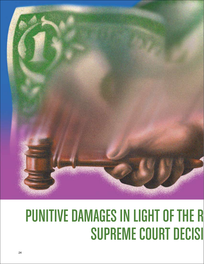

# **PUNITIVE DAMAGES IN LIGHT OF THE R SUPREME COURT DECISI**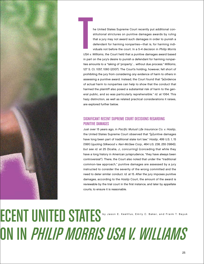

he United States Supreme Court recently put additional constitutional strictures on punitive damages awards by ruling that a jury may not award such damages in order to punish a defendant for harming nonparties—that is, for harming individuals not before the court. In a 5-4 decision in Philip Morris USA v. Williams, the Court held that a punitive damages award based in part on the jury's desire to punish a defendant for harming nonpar- $\begin{array}{c}\n\hline\n\text{USA} \text{ } \text{V}.\n\end{array}$ 

ties amounts to a "taking of 'property'… without due process." Williams, 127 S. Ct. 1057, 1060 (2007). The Court's holding, however, fell short of prohibiting the jury from considering any evidence of harm to others in assessing a punitive award. Instead, the Court found that "[e]vidence of actual harm to nonparties can help to show that the conduct that harmed the plaintiff also posed a substantial risk of harm to the general public, and so was particularly reprehensible." Id. at 1064. This hazy distinction, as well as related practical considerations it raises, are explored further below.

## Significant Recent Supreme Court Decisions Regarding Punitive Damages

Just over 15 years ago, in Pacific Mutual Life Insurance Co. v. Haslip, the United States Supreme Court observed that "[p]unitive damages have long been part of traditional state tort law." Haslip, 499 U.S. 1, 15 (1991) (quoting Silkwood v. Kerr-McGee Corp., 464 U.S. 238, 255 (1984)); but see id. at 25 (Scalia, J., concurring) (conceding that while they have a long history in American jurisprudence, "they have always been controversial"). There, the Court also noted that under the "traditional common-law approach," punitive damages are assessed by a jury instructed to consider the severity of the wrong committed and the need to deter similar conduct. Id. at 15. After the jury imposes punitive damages, according to the Haslip Court, the amount of the award is reviewable by the trial court in the first instance, and later by appellate courts, to ensure it is reasonable.

**ECENT UNITED ST** ON IN *PHILIP MORRIS USA V. WILLIAMS* by Jason E. Keehfus, Emily C. Baker, and Frank T. Bayuk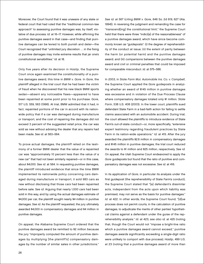Moreover, the Court found that it was unaware of any state or federal court that had ruled that the "traditional common-law approach" to assessing punitive damages was, by itself, violative of due process. Id. at 16–17. However, while affirming the punitive damages award in that case—and finding that punitive damages can be levied to both punish and deter—the Court recognized that "unlimited jury discretion … in the fixing of punitive damages may invite extreme results that jar one's constitutional sensibilities." Id. at 18.

Only five years after its decision in Haslip, the Supreme Court once again examined the constitutionality of a punitive damages award, this time in BMW v. Gore. In Gore, the plaintiff alleged in the trial court that he had been the victim of fraud when he discovered that his new black BMW sports sedan—absent any noticeable flaws—appeared to have been repainted at some point prior to his purchase. Gore, 517 U.S. 559, 563 (1996). At trial, BMW admitted that it had, in fact, repainted portions of the car in accord with its nationwide policy that if a car was damaged during manufacture or transport, and the cost of repairing the damages did not exceed 3 percent of the suggested retail price, the car was sold as new without advising the dealer that any repairs had been made. See id. at 563–564.

To prove actual damages, the plaintiff relied on the testimony of a former BMW dealer that the value of a repainted car was "approximately 10 percent less than the value of a new car" that had not been similarly repaired—or in this case, about \$4,000. See id. at 564. In requesting punitive damages, the plaintiff introduced evidence that since the time BMW implemented its nationwide policy concerning cars damaged during manufacture or transport, it sold 983 cars as new without disclosing that those cars had been repainted before sale. See id. Arguing that nearly 1,000 cars had been sold in this way, and by using the actual damages estimate of \$4,000 per car, the plaintiff sought nearly \$4 million in punitive damages. See id. As the plaintiff requested, the jury ultimately awarded \$4,000 in compensatory damages and \$4 million in punitive damages.

On appeal, the Alabama Supreme Court ordered that the punitive damages award be remitted to \$2 million because the jury "improperly computed the amount of punitive damages by multiplying [the plaintiff's] compensatory damages by the number of similar sales in other jurisdictions."

See id. at 567 (citing BMW v. Gore, 646 So. 2d 619, 627 (Ala. 1994)). In reversing the judgment and remanding the case for "transcend[ing] the constitutional limit," the Supreme Court held that there were three "indici[a] of the reasonableness" of a punitive damages award, which have since become commonly known as "guideposts": (i) the degree of reprehensibility of the conduct at issue; (ii) the extent of parity between the harm (or potential harm) and the punitive damages award; and (iii) comparisons between the punitive damages award and civil or criminal penalties that could be imposed for comparable misconduct. Id. at 575–586.

In 2003, in State Farm Mut. Automobile Ins. Co. v. Campbell, the Supreme Court applied the Gore guideposts in analyzing whether an award of \$145 million in punitive damages was excessive and in violation of the Due Process Clause where compensatory damages totaled only \$1 million. State Farm, 538 U.S. 408 (2003). In the lower court, plaintiffs sued defendant State Farm in a bad-faith action for failing to settle claims associated with an automobile accident. During trial, the court allowed the plaintiffs to introduce evidence of State Farm's out-of-state conduct—or, more specifically, "extensive expert testimony regarding fraudulent practices by State Farm in its nation-wide operations." Id. at 415. After the jury awarded the plaintiffs \$2.6 million in compensatory damages and \$145 million in punitive damages, the trial court reduced the awards to \$1 million and \$25 million, respectively. See id. On appeal, the Utah Supreme Court endeavored to apply the Gore guideposts but found that the ratio of punitive and compensatory damages was not excessive. See id. at 416.

In its application of Gore, in particular its analysis under the first guidepost (the reprehensibility of State Farm's conduct), the Supreme Court stated that "[a] defendant's dissimilar acts, independent from the acts upon which liability was premised, may not serve as the basis for punitive damages." Id. at 422. In other words, the Supreme Court found, "[d]ue process does not permit courts, in the calculation of punitive damages, to adjudicate the merits of other parties' hypothetical claims against a defendant under the guise of the reprehensibility analysis." Id. at 423; see also id. at 425 (noting that, though the Court would not "impose a bright-line ratio which a punitive damages award cannot exceed," punitive damages awards significantly exceeding a single-digit ratio were unlikely to comport with due process); Haslip, 499 U.S. at 23 (noting that a punitive damages award of more than